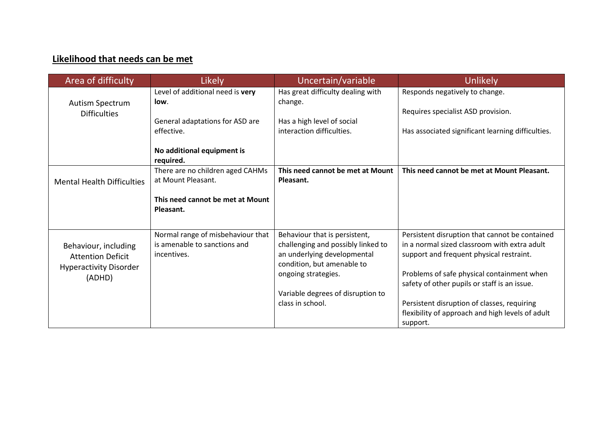## **Likelihood that needs can be met**

| Area of difficulty                                                  | Likely                            | Uncertain/variable                                        | Unlikely                                          |
|---------------------------------------------------------------------|-----------------------------------|-----------------------------------------------------------|---------------------------------------------------|
|                                                                     | Level of additional need is very  | Has great difficulty dealing with                         | Responds negatively to change.                    |
| Autism Spectrum                                                     | low.                              | change.                                                   |                                                   |
| <b>Difficulties</b>                                                 | General adaptations for ASD are   | Has a high level of social                                | Requires specialist ASD provision.                |
|                                                                     | effective.                        | interaction difficulties.                                 | Has associated significant learning difficulties. |
|                                                                     |                                   |                                                           |                                                   |
|                                                                     | No additional equipment is        |                                                           |                                                   |
|                                                                     | required.                         |                                                           |                                                   |
|                                                                     | There are no children aged CAHMs  | This need cannot be met at Mount                          | This need cannot be met at Mount Pleasant.        |
| <b>Mental Health Difficulties</b>                                   | at Mount Pleasant.                | Pleasant.                                                 |                                                   |
|                                                                     | This need cannot be met at Mount  |                                                           |                                                   |
|                                                                     | Pleasant.                         |                                                           |                                                   |
|                                                                     |                                   |                                                           |                                                   |
|                                                                     | Normal range of misbehaviour that | Behaviour that is persistent,                             | Persistent disruption that cannot be contained    |
| Behaviour, including                                                | is amenable to sanctions and      | challenging and possibly linked to                        | in a normal sized classroom with extra adult      |
| <b>Attention Deficit</b><br><b>Hyperactivity Disorder</b><br>(ADHD) | incentives.                       | an underlying developmental<br>condition, but amenable to | support and frequent physical restraint.          |
|                                                                     |                                   | ongoing strategies.                                       | Problems of safe physical containment when        |
|                                                                     |                                   |                                                           | safety of other pupils or staff is an issue.      |
|                                                                     |                                   | Variable degrees of disruption to                         |                                                   |
|                                                                     |                                   | class in school.                                          | Persistent disruption of classes, requiring       |
|                                                                     |                                   |                                                           | flexibility of approach and high levels of adult  |
|                                                                     |                                   |                                                           | support.                                          |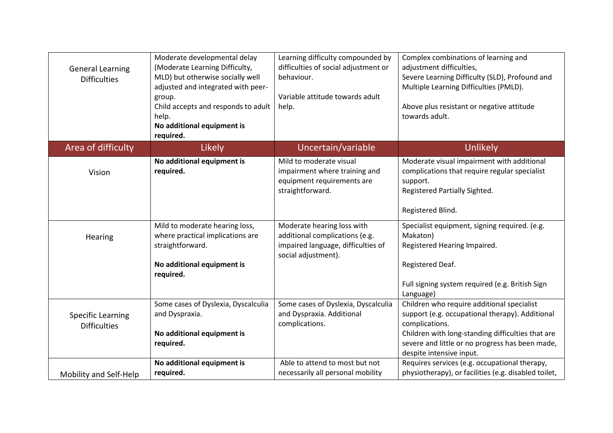| <b>General Learning</b><br><b>Difficulties</b>  | Moderate developmental delay<br>(Moderate Learning Difficulty,<br>MLD) but otherwise socially well<br>adjusted and integrated with peer-<br>group.<br>Child accepts and responds to adult<br>help.<br>No additional equipment is<br>required. | Learning difficulty compounded by<br>difficulties of social adjustment or<br>behaviour.<br>Variable attitude towards adult<br>help. | Complex combinations of learning and<br>adjustment difficulties,<br>Severe Learning Difficulty (SLD), Profound and<br>Multiple Learning Difficulties (PMLD).<br>Above plus resistant or negative attitude<br>towards adult.                         |
|-------------------------------------------------|-----------------------------------------------------------------------------------------------------------------------------------------------------------------------------------------------------------------------------------------------|-------------------------------------------------------------------------------------------------------------------------------------|-----------------------------------------------------------------------------------------------------------------------------------------------------------------------------------------------------------------------------------------------------|
| Area of difficulty                              | <b>Likely</b>                                                                                                                                                                                                                                 | Uncertain/variable                                                                                                                  | <b>Unlikely</b>                                                                                                                                                                                                                                     |
| Vision                                          | No additional equipment is<br>required.                                                                                                                                                                                                       | Mild to moderate visual<br>impairment where training and<br>equipment requirements are<br>straightforward.                          | Moderate visual impairment with additional<br>complications that require regular specialist<br>support.<br>Registered Partially Sighted.<br>Registered Blind.                                                                                       |
| Hearing                                         | Mild to moderate hearing loss,<br>where practical implications are<br>straightforward.<br>No additional equipment is<br>required.                                                                                                             | Moderate hearing loss with<br>additional complications (e.g.<br>impaired language, difficulties of<br>social adjustment).           | Specialist equipment, signing required. (e.g.<br>Makaton)<br>Registered Hearing Impaired.<br>Registered Deaf.<br>Full signing system required (e.g. British Sign<br>Language)                                                                       |
| <b>Specific Learning</b><br><b>Difficulties</b> | Some cases of Dyslexia, Dyscalculia<br>and Dyspraxia.<br>No additional equipment is<br>required.                                                                                                                                              | Some cases of Dyslexia, Dyscalculia<br>and Dyspraxia. Additional<br>complications.                                                  | Children who require additional specialist<br>support (e.g. occupational therapy). Additional<br>complications.<br>Children with long-standing difficulties that are<br>severe and little or no progress has been made,<br>despite intensive input. |
| Mobility and Self-Help                          | No additional equipment is<br>required.                                                                                                                                                                                                       | Able to attend to most but not<br>necessarily all personal mobility                                                                 | Requires services (e.g. occupational therapy,<br>physiotherapy), or facilities (e.g. disabled toilet,                                                                                                                                               |